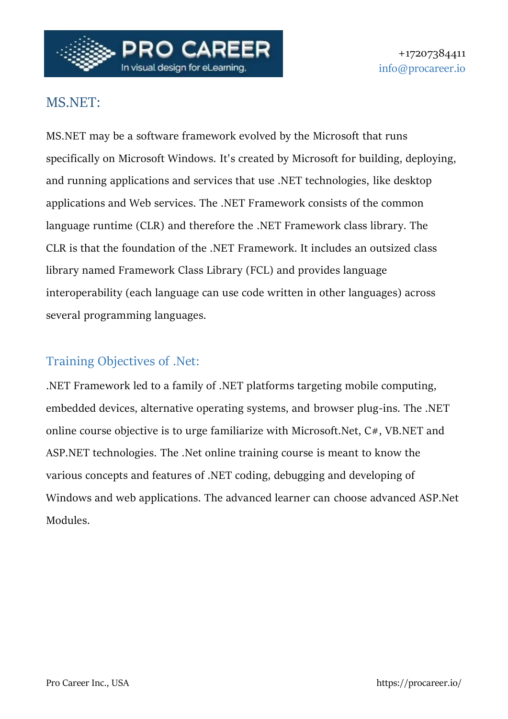

# MS.NET:

MS.NET may be a software framework evolved by the Microsoft that runs specifically on Microsoft Windows. It's created by Microsoft for building, deploying, and running applications and services that use .NET technologies, like desktop applications and Web services. The .NET Framework consists of the common language runtime (CLR) and therefore the .NET Framework class library. The CLR is that the foundation of the .NET Framework. It includes an outsized class library named Framework Class Library (FCL) and provides language interoperability (each language can use code written in other languages) across several programming languages.

# Training Objectives of .Net:

.NET Framework led to a family of .NET platforms targeting mobile computing, embedded devices, alternative operating systems, and browser plug-ins. The .NET online course objective is to urge familiarize with Microsoft.Net, C#, VB.NET and ASP.NET technologies. The .Net online training course is meant to know the various concepts and features of .NET coding, debugging and developing of Windows and web applications. The advanced learner can choose advanced ASP.Net Modules.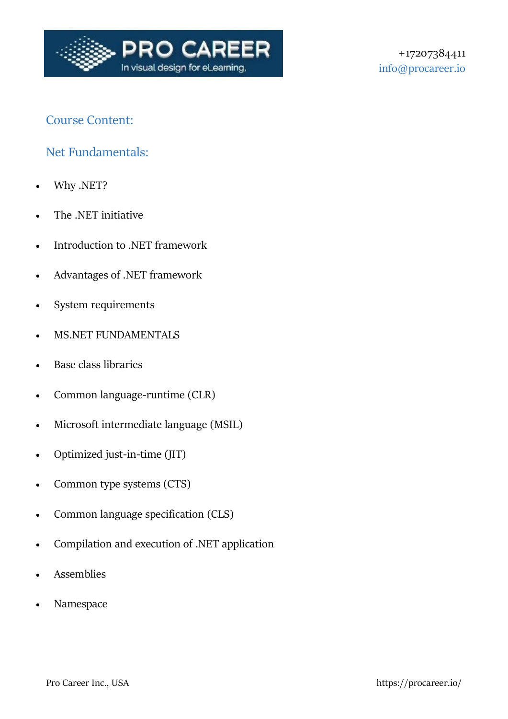

## Course Content:

### Net Fundamentals:

- Why .NET?
- The .NET initiative
- Introduction to .NET framework
- Advantages of .NET framework
- System requirements
- MS.NET FUNDAMENTALS
- Base class libraries
- Common language-runtime (CLR)
- Microsoft intermediate language (MSIL)
- Optimized just-in-time (JIT)
- Common type systems (CTS)
- Common language specification (CLS)
- Compilation and execution of .NET application
- Assemblies
- Namespace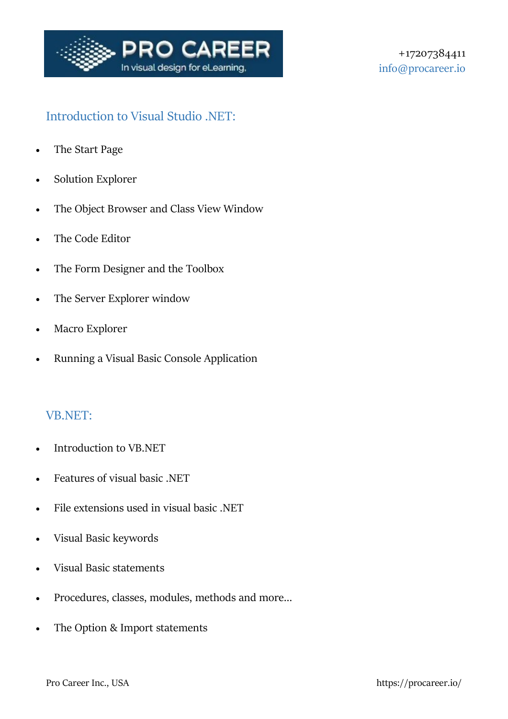

# Introduction to Visual Studio .NET:

- The Start Page
- Solution Explorer
- The Object Browser and Class View Window
- The Code Editor
- The Form Designer and the Toolbox
- The Server Explorer window
- Macro Explorer
- Running a Visual Basic Console Application

#### VB.NET:

- Introduction to VB.NET
- Features of visual basic .NET
- File extensions used in visual basic .NET
- Visual Basic keywords
- Visual Basic statements
- Procedures, classes, modules, methods and more…
- The Option & Import statements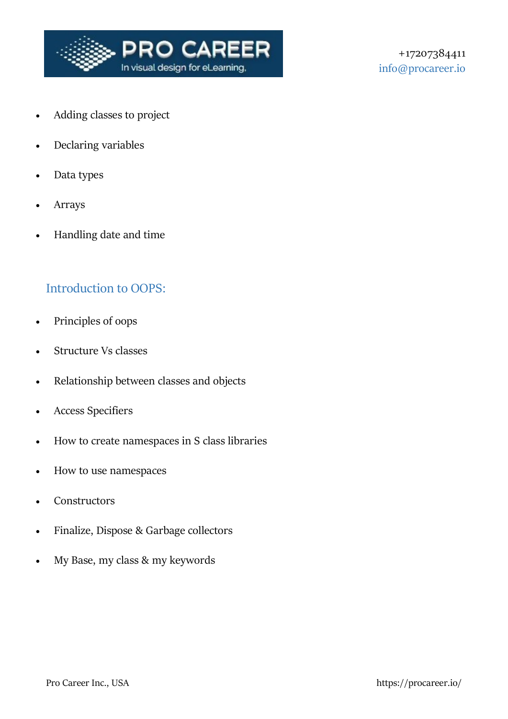

- Adding classes to project
- Declaring variables
- Data types
- Arrays
- Handling date and time

#### Introduction to OOPS:

- Principles of oops
- Structure Vs classes
- Relationship between classes and objects
- Access Specifiers
- How to create namespaces in S class libraries
- How to use namespaces
- **Constructors**
- Finalize, Dispose & Garbage collectors
- My Base, my class & my keywords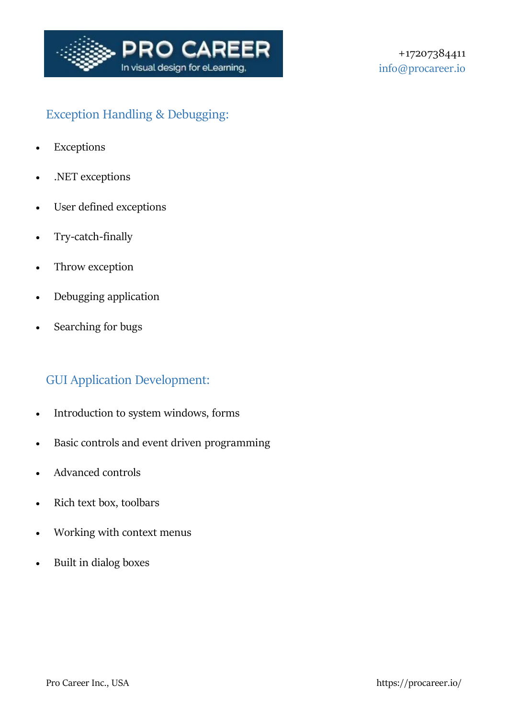

# Exception Handling & Debugging:

- Exceptions
- .NET exceptions
- User defined exceptions
- Try-catch-finally
- Throw exception
- Debugging application
- Searching for bugs

## GUI Application Development:

- Introduction to system windows, forms
- Basic controls and event driven programming
- Advanced controls
- Rich text box, toolbars
- Working with context menus
- Built in dialog boxes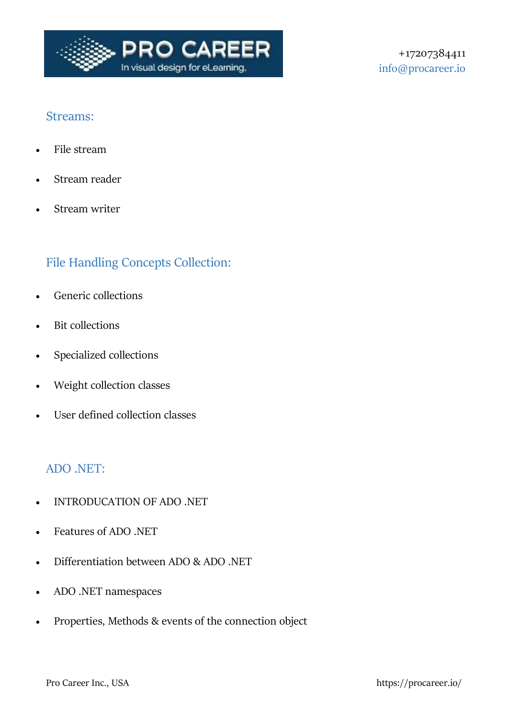

### Streams:

- File stream
- Stream reader
- Stream writer

# File Handling Concepts Collection:

- Generic collections
- Bit collections
- Specialized collections
- Weight collection classes
- User defined collection classes

### ADO .NET:

- INTRODUCATION OF ADO .NET
- Features of ADO .NET
- Differentiation between ADO & ADO .NET
- ADO .NET namespaces
- Properties, Methods & events of the connection object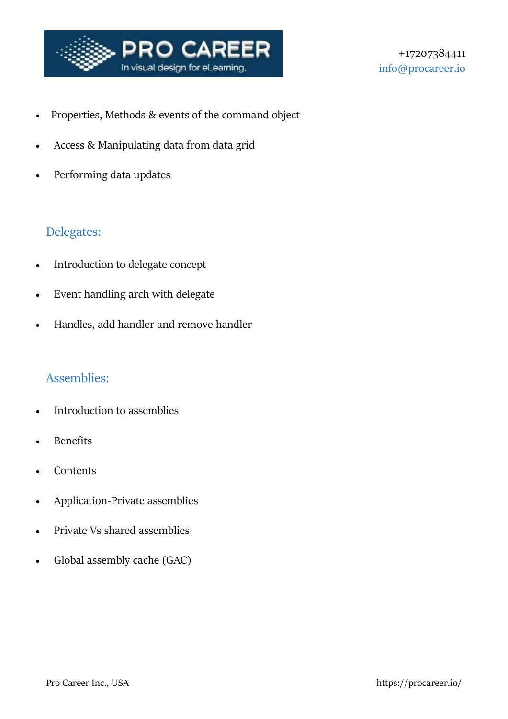

- Properties, Methods & events of the command object
- Access & Manipulating data from data grid
- Performing data updates

## Delegates:

- Introduction to delegate concept
- Event handling arch with delegate
- Handles, add handler and remove handler

#### Assemblies:

- Introduction to assemblies
- Benefits
- Contents
- Application-Private assemblies
- Private Vs shared assemblies
- Global assembly cache (GAC)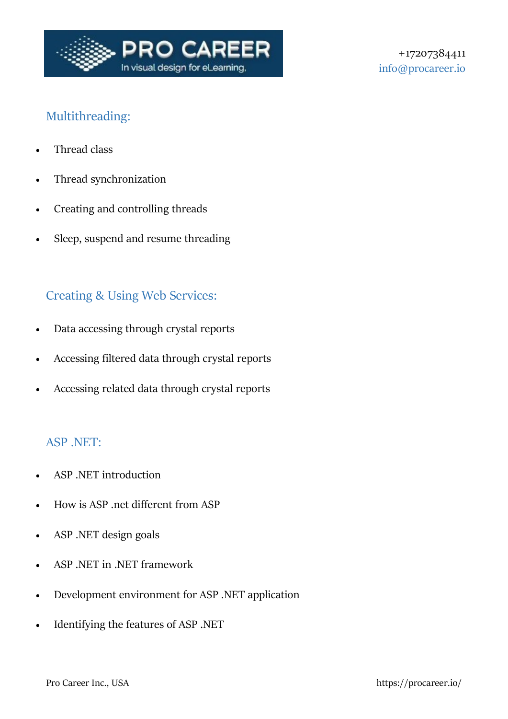

# Multithreading:

- Thread class
- Thread synchronization
- Creating and controlling threads
- Sleep, suspend and resume threading

## Creating & Using Web Services:

- Data accessing through crystal reports
- Accessing filtered data through crystal reports
- Accessing related data through crystal reports

### ASP .NET:

- ASP .NET introduction
- How is ASP .net different from ASP
- ASP .NET design goals
- ASP .NET in .NET framework
- Development environment for ASP .NET application
- Identifying the features of ASP .NET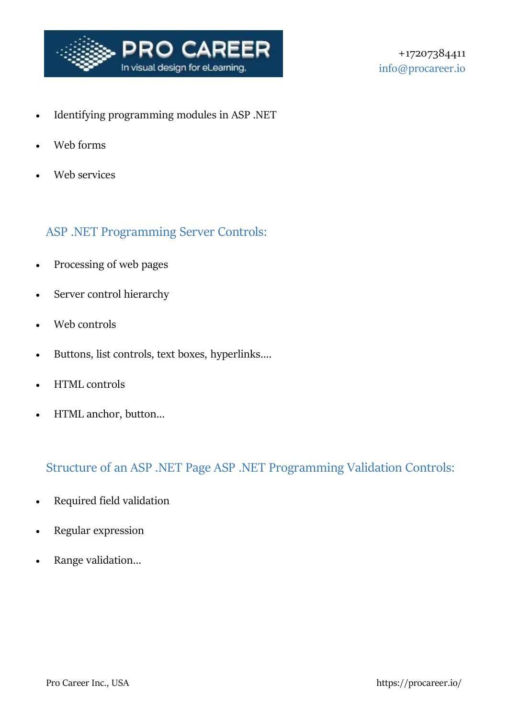

- Identifying programming modules in ASP .NET
- Web forms
- Web services

## ASP .NET Programming Server Controls:

- Processing of web pages
- Server control hierarchy
- Web controls
- Buttons, list controls, text boxes, hyperlinks….
- HTML controls
- HTML anchor, button…

## Structure of an ASP .NET Page ASP .NET Programming Validation Controls:

- Required field validation
- Regular expression
- Range validation…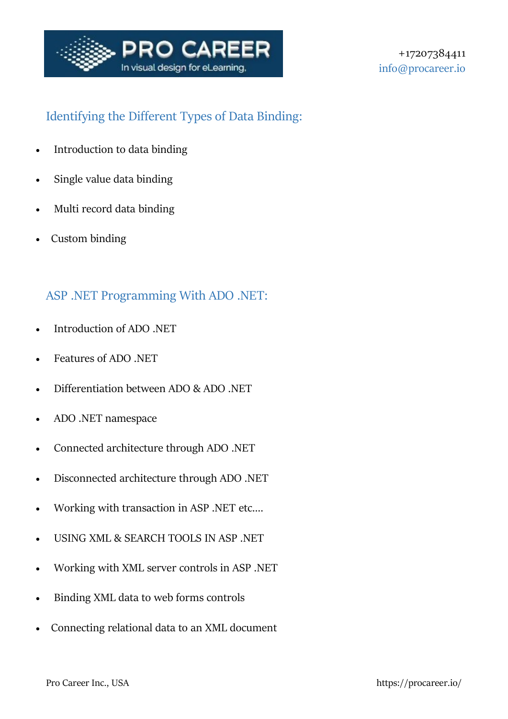

# Identifying the Different Types of Data Binding:

- Introduction to data binding
- Single value data binding
- Multi record data binding
- Custom binding

## ASP .NET Programming With ADO .NET:

- Introduction of ADO .NET
- Features of ADO .NET
- Differentiation between ADO & ADO .NET
- ADO .NET namespace
- Connected architecture through ADO .NET
- Disconnected architecture through ADO .NET
- Working with transaction in ASP .NET etc.…
- USING XML & SEARCH TOOLS IN ASP .NET
- Working with XML server controls in ASP .NET
- Binding XML data to web forms controls
- Connecting relational data to an XML document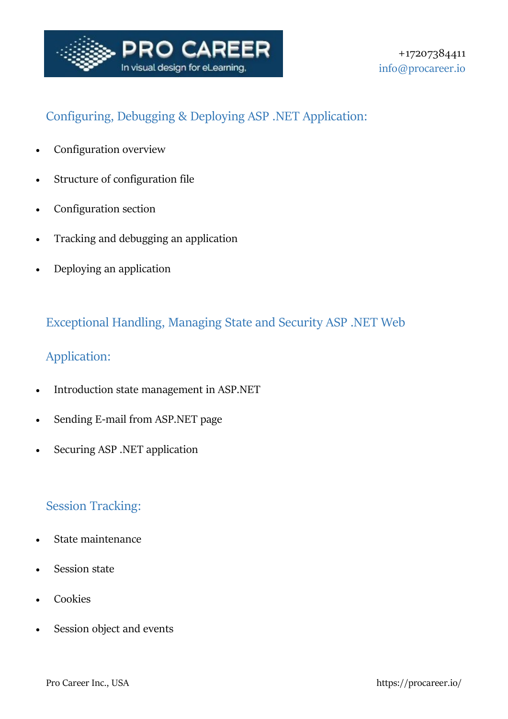

# Configuring, Debugging & Deploying ASP .NET Application:

- Configuration overview
- Structure of configuration file
- Configuration section
- Tracking and debugging an application
- Deploying an application

# Exceptional Handling, Managing State and Security ASP .NET Web

## Application:

- Introduction state management in ASP.NET
- Sending E-mail from ASP.NET page
- Securing ASP .NET application

## Session Tracking:

- State maintenance
- Session state
- Cookies
- Session object and events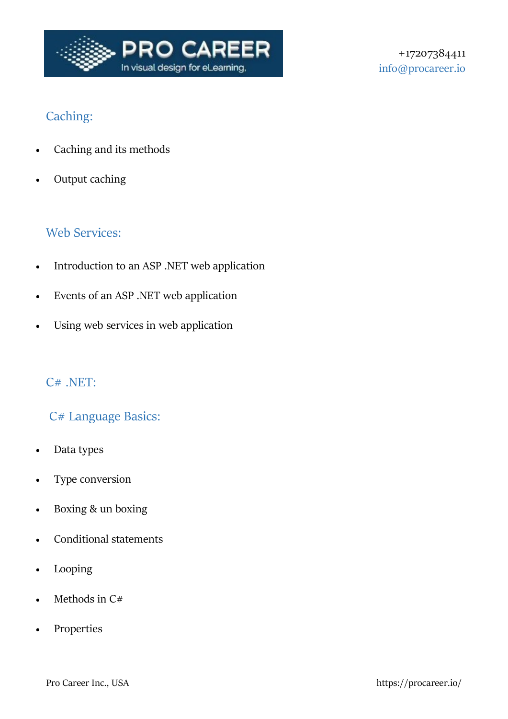

# Caching:

- Caching and its methods
- Output caching

# Web Services:

- Introduction to an ASP .NET web application
- Events of an ASP .NET web application
- Using web services in web application

### C# .NET:

## C# Language Basics:

- Data types
- Type conversion
- Boxing & un boxing
- Conditional statements
- Looping
- Methods in C#
- Properties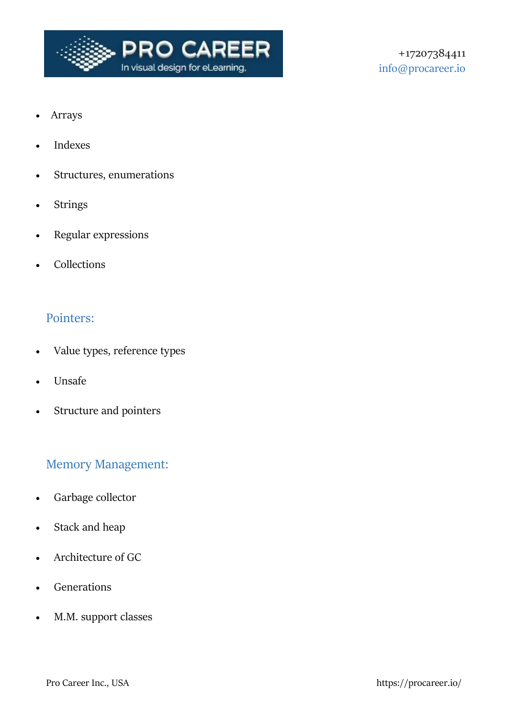

- Arrays
- Indexes
- Structures, enumerations
- Strings
- Regular expressions
- Collections

#### Pointers:

- Value types, reference types
- Unsafe
- Structure and pointers

## Memory Management:

- Garbage collector
- Stack and heap
- Architecture of GC
- Generations
- M.M. support classes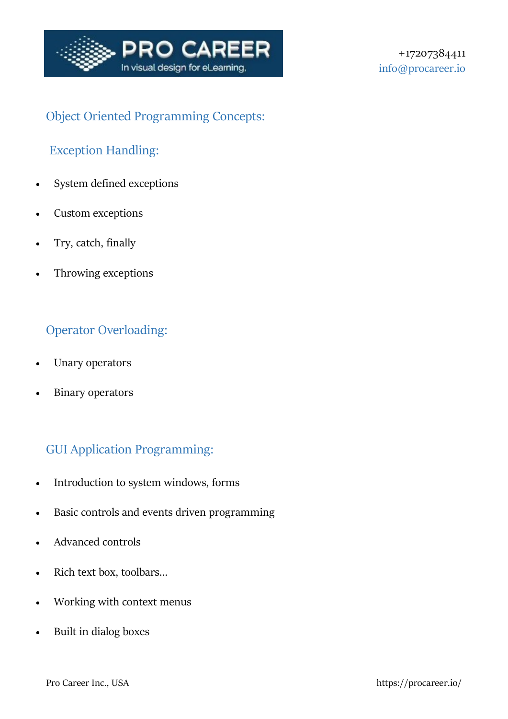

# Object Oriented Programming Concepts:

# Exception Handling:

- System defined exceptions
- Custom exceptions
- Try, catch, finally
- Throwing exceptions

# Operator Overloading:

- Unary operators
- Binary operators

# GUI Application Programming:

- Introduction to system windows, forms
- Basic controls and events driven programming
- Advanced controls
- Rich text box, toolbars…
- Working with context menus
- Built in dialog boxes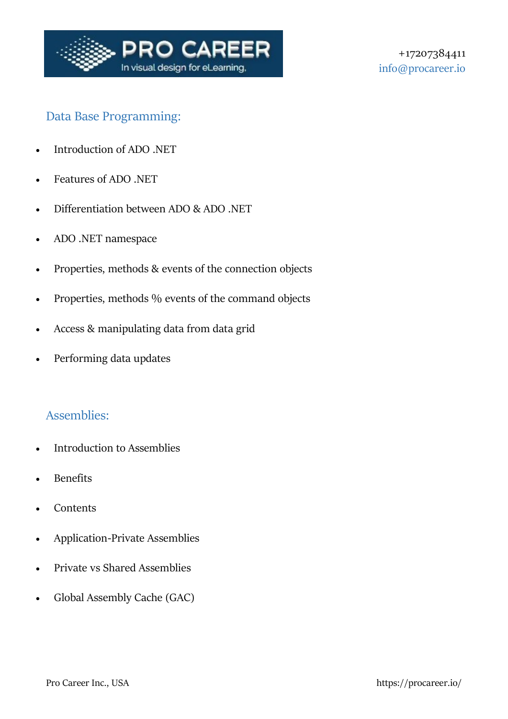

## Data Base Programming:

- Introduction of ADO .NET
- Features of ADO .NET
- Differentiation between ADO & ADO .NET
- ADO .NET namespace
- Properties, methods & events of the connection objects
- Properties, methods % events of the command objects
- Access & manipulating data from data grid
- Performing data updates

### Assemblies:

- Introduction to Assemblies
- Benefits
- **Contents**
- Application-Private Assemblies
- Private vs Shared Assemblies
- Global Assembly Cache (GAC)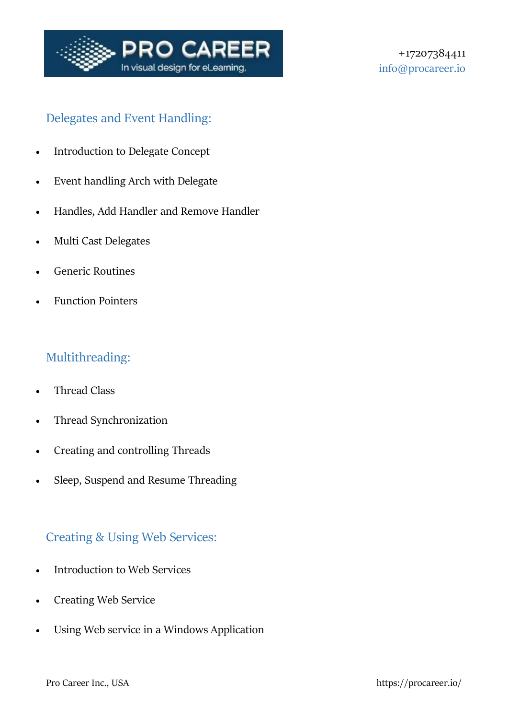

## Delegates and Event Handling:

- Introduction to Delegate Concept
- Event handling Arch with Delegate
- Handles, Add Handler and Remove Handler
- Multi Cast Delegates
- Generic Routines
- Function Pointers

## Multithreading:

- Thread Class
- Thread Synchronization
- Creating and controlling Threads
- Sleep, Suspend and Resume Threading

### Creating & Using Web Services:

- Introduction to Web Services
- Creating Web Service
- Using Web service in a Windows Application